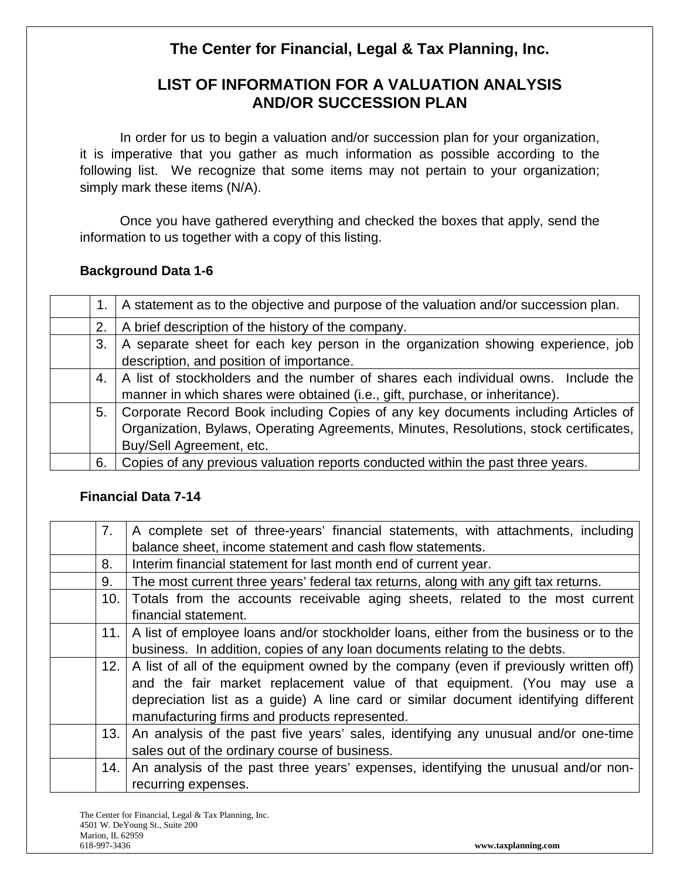# **The Center for Financial, Legal & Tax Planning, Inc.**

# **LIST OF INFORMATION FOR A VALUATION ANALYSIS AND/OR SUCCESSION PLAN**

In order for us to begin a valuation and/or succession plan for your organization, it is imperative that you gather as much information as possible according to the following list. We recognize that some items may not pertain to your organization; simply mark these items (N/A).

Once you have gathered everything and checked the boxes that apply, send the information to us together with a copy of this listing.

## **Background Data 1-6**

|    | A statement as to the objective and purpose of the valuation and/or succession plan.  |
|----|---------------------------------------------------------------------------------------|
| 2. | A brief description of the history of the company.                                    |
| 3. | A separate sheet for each key person in the organization showing experience, job      |
|    | description, and position of importance.                                              |
| 4. | A list of stockholders and the number of shares each individual owns. Include the     |
|    | manner in which shares were obtained (i.e., gift, purchase, or inheritance).          |
| 5. | Corporate Record Book including Copies of any key documents including Articles of     |
|    | Organization, Bylaws, Operating Agreements, Minutes, Resolutions, stock certificates, |
|    | Buy/Sell Agreement, etc.                                                              |
| 6. | Copies of any previous valuation reports conducted within the past three years.       |

## **Financial Data 7-14**

| 7.   | A complete set of three-years' financial statements, with attachments, including      |
|------|---------------------------------------------------------------------------------------|
|      | balance sheet, income statement and cash flow statements.                             |
| 8.   | Interim financial statement for last month end of current year.                       |
| 9.   | The most current three years' federal tax returns, along with any gift tax returns.   |
| 10.1 | Totals from the accounts receivable aging sheets, related to the most current         |
|      | financial statement.                                                                  |
| 11.1 | A list of employee loans and/or stockholder loans, either from the business or to the |
|      | business. In addition, copies of any loan documents relating to the debts.            |
| 12.1 | A list of all of the equipment owned by the company (even if previously written off)  |
|      | and the fair market replacement value of that equipment. (You may use a               |
|      | depreciation list as a guide) A line card or similar document identifying different   |
|      | manufacturing firms and products represented.                                         |
| 13.  | An analysis of the past five years' sales, identifying any unusual and/or one-time    |
|      | sales out of the ordinary course of business.                                         |
| 14.  | An analysis of the past three years' expenses, identifying the unusual and/or non-    |
|      | recurring expenses.                                                                   |